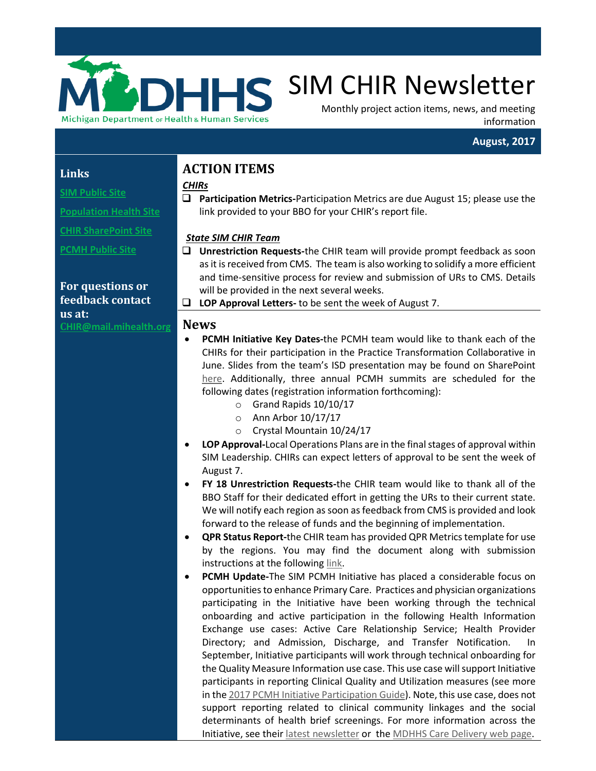

# **SIM CHIR Newsletter**

Monthly project action items, news, and meeting information

#### **August, 2017**

#### **Links**

**[SIM Public Site](http://www.michigan.gov/mdhhs/0,5885,7-339-71551_2945_64491_76092---,00.html)**

**[Population Health Site](http://www.michigan.gov/mdhhs/0,5885,7-339-71551_2945_64491_76092_77453---,00.html)**

**[CHIR SharePoint Site](https://stateofmichigan.sharepoint.com/teams/dhhs/bic/msacss/SIM/SitePages/CHIR.aspx)**

**[PCMH Public Site](http://www.michigan.gov/mdhhs/0,5885,7-339-71551_2945_64491_76092_77452---,00.html)** 

**For questions or feedback contact us at: C[HIR@mail.mihealth.org](mailto:CHIR@mail.mihealth.org)**

# **ACTION ITEMS**

### *CHIRs*

 **Participation Metrics-**Participation Metrics are due August 15; please use the link provided to your BBO for your CHIR's report file.

#### *State SIM CHIR Team*

- **Unrestriction Requests-**the CHIR team will provide prompt feedback as soon as it is received from CMS. The team is also working to solidify a more efficient and time-sensitive process for review and submission of URs to CMS. Details will be provided in the next several weeks.
- **LOP Approval Letters-** to be sent the week of August 7.

#### **News**

- **PCMH Initiative Key Dates-**the PCMH team would like to thank each of the CHIRs for their participation in the Practice Transformation Collaborative in June. Slides from the team's ISD presentation may be found on SharePoint [here.](https://stateofmichigan.sharepoint.com/teams/dhhs/bic/msacss/SIM/All%20CHIRs/Resources/Presentations/2017/2017.06.03%20PCMH%20Collaborative%20Learning%20Session%202%20ISD.pdf) Additionally, three annual PCMH summits are scheduled for the following dates (registration information forthcoming):
	- o Grand Rapids 10/10/17
	- o Ann Arbor 10/17/17
	- o Crystal Mountain 10/24/17
- **LOP Approval-**Local Operations Plans are in the final stages of approval within SIM Leadership. CHIRs can expect letters of approval to be sent the week of August 7.
- **FY 18 Unrestriction Requests-**the CHIR team would like to thank all of the BBO Staff for their dedicated effort in getting the URs to their current state. We will notify each region as soon as feedback from CMS is provided and look forward to the release of funds and the beginning of implementation.
- **QPR Status Report-**the CHIR team has provided QPR Metrics template for use by the regions. You may find the document along with submission instructions at the followin[g link.](https://stateofmichigan.sharepoint.com/teams/dhhs/bic/msacss/SIM/_layouts/15/WopiFrame.aspx?sourcedoc=%7BE6D52FB6-50E6-4976-8D04-8BDC901EA0CD%7D&file=CHIR%20QPR%20Metrics%20Template%20%26%20Instructions.xlsx&action=default)
- **PCMH Update-**The SIM PCMH Initiative has placed a considerable focus on opportunities to enhance Primary Care. Practices and physician organizations participating in the Initiative have been working through the technical onboarding and active participation in the following Health Information Exchange use cases: Active Care Relationship Service; Health Provider Directory; and Admission, Discharge, and Transfer Notification. In September, Initiative participants will work through technical onboarding for the Quality Measure Information use case. This use case will support Initiative participants in reporting Clinical Quality and Utilization measures (see more in th[e 2017 PCMH Initiative Participation Guide\)](http://www.michigan.gov/documents/mdhhs/2017_PCMH_Initiative_Participant_Guide_Draft_v1_1-9-16_547757_7.pdf). Note, this use case, does not support reporting related to clinical community linkages and the social determinants of health brief screenings. For more information across the Initiative, see thei[r latest newsletter](http://www.michigan.gov/documents/mdhhs/2017_PCMH_Initiative_Newsletter_-_July_582885_7.pdf) or th[e MDHHS Care Delivery web page.](http://www.michigan.gov/mdhhs/0,5885,7-339-71551_2945_64491_76092_77452---,00.html)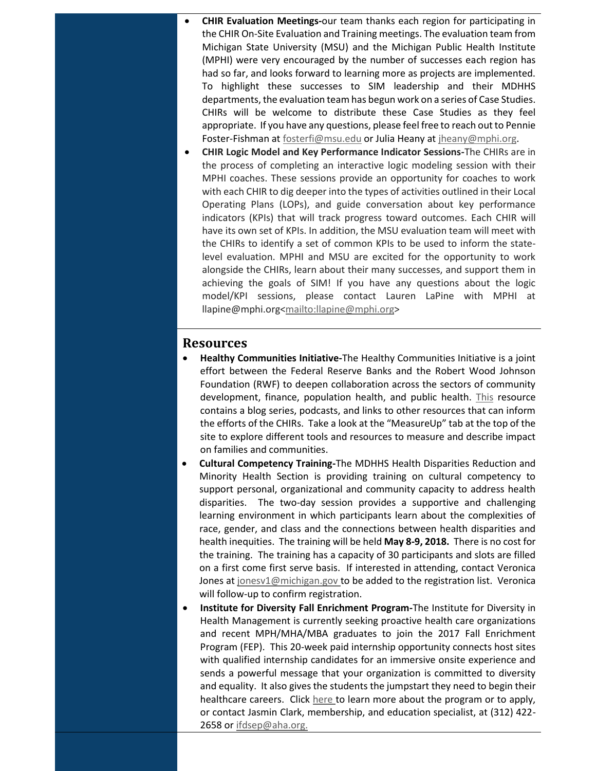- **CHIR Evaluation Meetings-**our team thanks each region for participating in the CHIR On-Site Evaluation and Training meetings. The evaluation team from Michigan State University (MSU) and the Michigan Public Health Institute (MPHI) were very encouraged by the number of successes each region has had so far, and looks forward to learning more as projects are implemented. To highlight these successes to SIM leadership and their MDHHS departments, the evaluation team has begun work on a series of Case Studies. CHIRs will be welcome to distribute these Case Studies as they feel appropriate. If you have any questions, please feel free to reach out to Pennie Foster-Fishman a[t fosterfi@msu.edu](mailto:fosterfi@msu.edu) or Julia Heany a[t jheany@mphi.org.](mailto:jheany@mphi.org)
- **CHIR Logic Model and Key Performance Indicator Sessions-**The CHIRs are in the process of completing an interactive logic modeling session with their MPHI coaches. These sessions provide an opportunity for coaches to work with each CHIR to dig deeper into the types of activities outlined in their Local Operating Plans (LOPs), and guide conversation about key performance indicators (KPIs) that will track progress toward outcomes. Each CHIR will have its own set of KPIs. In addition, the MSU evaluation team will meet with the CHIRs to identify a set of common KPIs to be used to inform the statelevel evaluation. MPHI and MSU are excited for the opportunity to work alongside the CHIRs, learn about their many successes, and support them in achieving the goals of SIM! If you have any questions about the logic model/KPI sessions, please contact Lauren LaPine with MPHI at llapine@mphi.org[<mailto:llapine@mphi.org>](mailto:llapine@mphi.org)

#### **Resources**

- **Healthy Communities Initiative-**The Healthy Communities Initiative is a joint effort between the Federal Reserve Banks and the Robert Wood Johnson Foundation (RWF) to deepen collaboration across the sectors of community development, finance, population health, and public health. [This](http://www.buildhealthyplaces.org/healthy-communities-initiative/?utm_source=Master+List&utm_campaign=a68a9c170e-Collaborate_9_7_168_30_2016&utm_medium=email&utm_term=0_cca4b7d5ee-a68a9c170e-148192069) resource contains a blog series, podcasts, and links to other resources that can inform the efforts of the CHIRs. Take a look at the "MeasureUp" tab at the top of the site to explore different tools and resources to measure and describe impact on families and communities.
- **Cultural Competency Training-**The MDHHS Health Disparities Reduction and Minority Health Section is providing training on cultural competency to support personal, organizational and community capacity to address health disparities. The two-day session provides a supportive and challenging learning environment in which participants learn about the complexities of race, gender, and class and the connections between health disparities and health inequities. The training will be held **May 8-9, 2018.** There is no cost for the training. The training has a capacity of 30 participants and slots are filled on a first come first serve basis. If interested in attending, contact Veronica Jones at [jonesv1@michigan.gov](mailto:jonesv1@michigan.gov) to be added to the registration list. Veronica will follow-up to confirm registration.
- **Institute for Diversity Fall Enrichment Program-**The Institute for Diversity in Health Management is currently seeking proactive health care organizations and recent MPH/MHA/MBA graduates to join the 2017 Fall Enrichment Program (FEP). This 20-week paid internship opportunity connects host sites with qualified internship candidates for an immersive onsite experience and sends a powerful message that your organization is committed to diversity and equality. It also gives the students the jumpstart they need to begin their healthcare careers. Click [here](http://www.diversityconnection.org/diversityconnection/education/education-SEP-Program-Overview.jsp) to learn more about the program or to apply, or contact Jasmin Clark, membership, and education specialist, at (312) 422 2658 o[r ifdsep@aha.org.](mailto:ifdsep@aha.org)